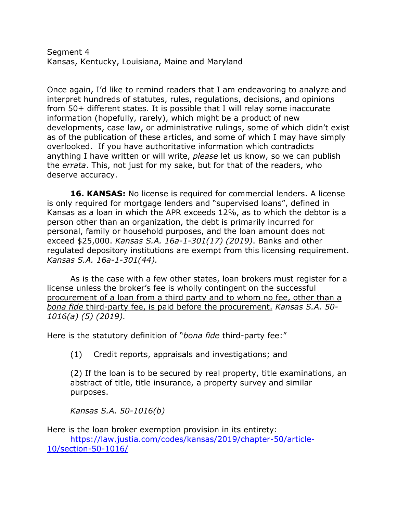Segment 4 Kansas, Kentucky, Louisiana, Maine and Maryland

Once again, I'd like to remind readers that I am endeavoring to analyze and interpret hundreds of statutes, rules, regulations, decisions, and opinions from 50+ different states. It is possible that I will relay some inaccurate information (hopefully, rarely), which might be a product of new developments, case law, or administrative rulings, some of which didn't exist as of the publication of these articles, and some of which I may have simply overlooked. If you have authoritative information which contradicts anything I have written or will write, *please* let us know, so we can publish the *errata*. This, not just for my sake, but for that of the readers, who deserve accuracy.

**16. KANSAS:** No license is required for commercial lenders. A license is only required for mortgage lenders and "supervised loans", defined in Kansas as a loan in which the APR exceeds 12%, as to which the debtor is a person other than an organization, the debt is primarily incurred for personal, family or household purposes, and the loan amount does not exceed \$25,000. *Kansas S.A. 16a-1-301(17) (2019)*. Banks and other regulated depository institutions are exempt from this licensing requirement. *Kansas S.A. 16a-1-301(44).*

As is the case with a few other states, loan brokers must register for a license unless the broker's fee is wholly contingent on the successful procurement of a loan from a third party and to whom no fee, other than a *bona fide* third-party fee, is paid before the procurement. *Kansas S.A. 50- 1016(a) (5) (2019).* 

Here is the statutory definition of "*bona fide* third-party fee:"

(1) Credit reports, appraisals and investigations; and

(2) If the loan is to be secured by real property, title examinations, an abstract of title, title insurance, a property survey and similar purposes.

*Kansas S.A. 50-1016(b)*

Here is the loan broker exemption provision in its entirety: https://law.justia.com/codes/kansas/2019/chapter-50/article-10/section-50-1016/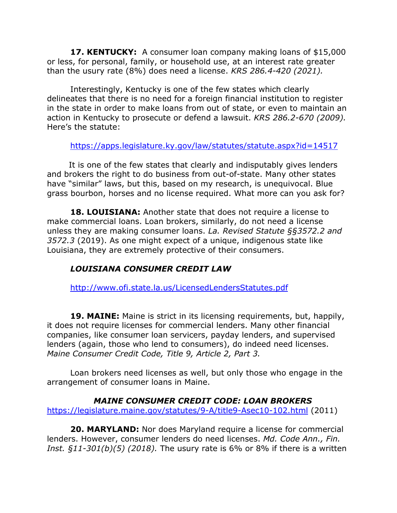**17. KENTUCKY:** A consumer loan company making loans of \$15,000 or less, for personal, family, or household use, at an interest rate greater than the usury rate (8%) does need a license. *KRS 286.4-420 (2021).*

Interestingly, Kentucky is one of the few states which clearly delineates that there is no need for a foreign financial institution to register in the state in order to make loans from out of state, or even to maintain an action in Kentucky to prosecute or defend a lawsuit. *KRS 286.2-670 (2009).* Here's the statute:

https://apps.legislature.ky.gov/law/statutes/statute.aspx?id=14517

 It is one of the few states that clearly and indisputably gives lenders and brokers the right to do business from out-of-state. Many other states have "similar" laws, but this, based on my research, is unequivocal. Blue grass bourbon, horses and no license required. What more can you ask for?

**18. LOUISIANA:** Another state that does not require a license to make commercial loans. Loan brokers, similarly, do not need a license unless they are making consumer loans. *La. Revised Statute §§3572.2 and 3572.3* (2019). As one might expect of a unique, indigenous state like Louisiana, they are extremely protective of their consumers.

## *LOUISIANA CONSUMER CREDIT LAW*

http://www.ofi.state.la.us/LicensedLendersStatutes.pdf

**19. MAINE:** Maine is strict in its licensing requirements, but, happily, it does not require licenses for commercial lenders. Many other financial companies, like consumer loan servicers, payday lenders, and supervised lenders (again, those who lend to consumers), do indeed need licenses. *Maine Consumer Credit Code, Title 9, Article 2, Part 3.*

Loan brokers need licenses as well, but only those who engage in the arrangement of consumer loans in Maine.

## *MAINE CONSUMER CREDIT CODE: LOAN BROKERS*

https://legislature.maine.gov/statutes/9-A/title9-Asec10-102.html (2011)

**20. MARYLAND:** Nor does Maryland require a license for commercial lenders. However, consumer lenders do need licenses. *Md. Code Ann., Fin. Inst. §11-301(b)(5) (2018).* The usury rate is 6% or 8% if there is a written